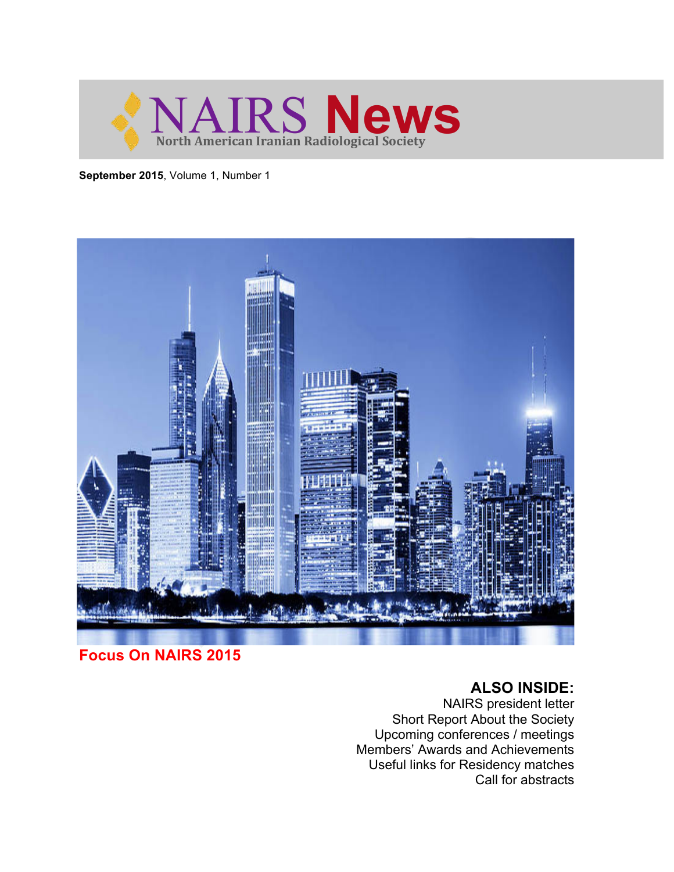

**September 2015**, Volume 1, Number 1



**Focus On NAIRS 2015**

## **ALSO INSIDE:**

NAIRS president letter Short Report About the Society Upcoming conferences / meetings Members' Awards and Achievements Useful links for Residency matches Call for abstracts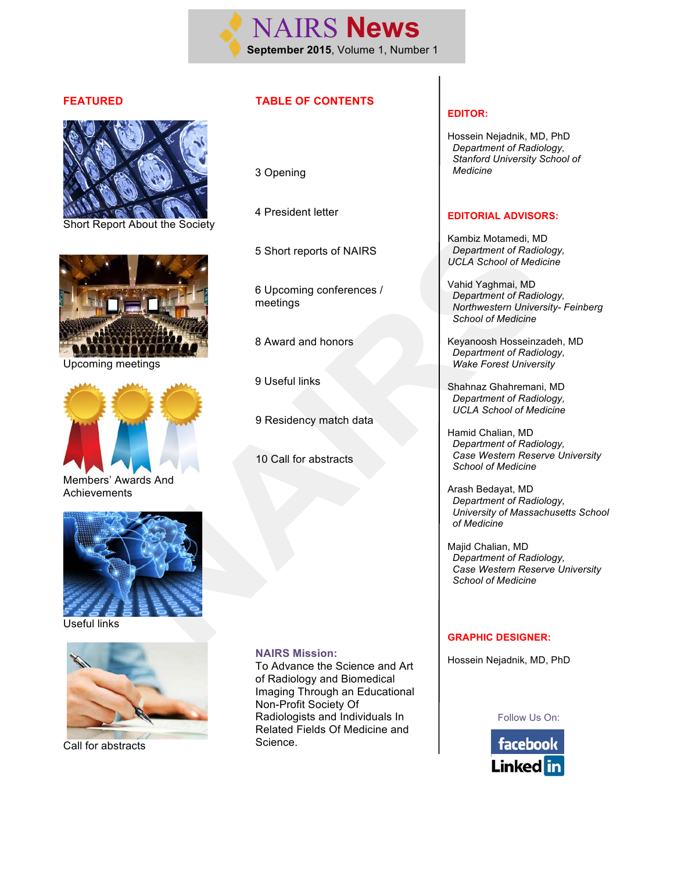

#### **FEATURED**



Short Report About the Society



Upcoming meetings



Members' Awards And Achievements



Useful links



Call for abstracts

#### **TABLE OF CONTENTS**

3 Opening

4 President letter

5 Short reports of NAIRS

6 Upcoming conferences / meetings

8 Award and honors

9 Useful links

9 Residency match data

10 Call for abstracts

#### **NAIRS Mission:**

To Advance the Science and Art of Radiology and Biomedical Imaging Through an Educational Non-Profit Society Of Radiologists and Individuals In Related Fields Of Medicine and Science.

#### **EDITOR:**

Hossein Nejadnik, MD, PhD *Department of Radiology, Stanford University School of Medicine*

#### **EDITORIAL ADVISORS:**

Kambiz Motamedi, MD *Department of Radiology, UCLA School of Medicine*

Vahid Yaghmai, MD *Department of Radiology, Northwestern University- Feinberg School of Medicine*

Keyanoosh Hosseinzadeh, MD *Department of Radiology, Wake Forest University*

Shahnaz Ghahremani, MD *Department of Radiology, UCLA School of Medicine*

Hamid Chalian, MD *Department of Radiology, Case Western Reserve University School of Medicine*

Arash Bedayat, MD *Department of Radiology, University of Massachusetts School of Medicine*

Majid Chalian, MD *Department of Radiology, Case Western Reserve University School of Medicine*

#### **GRAPHIC DESIGNER:**

Hossein Nejadnik, MD, PhD

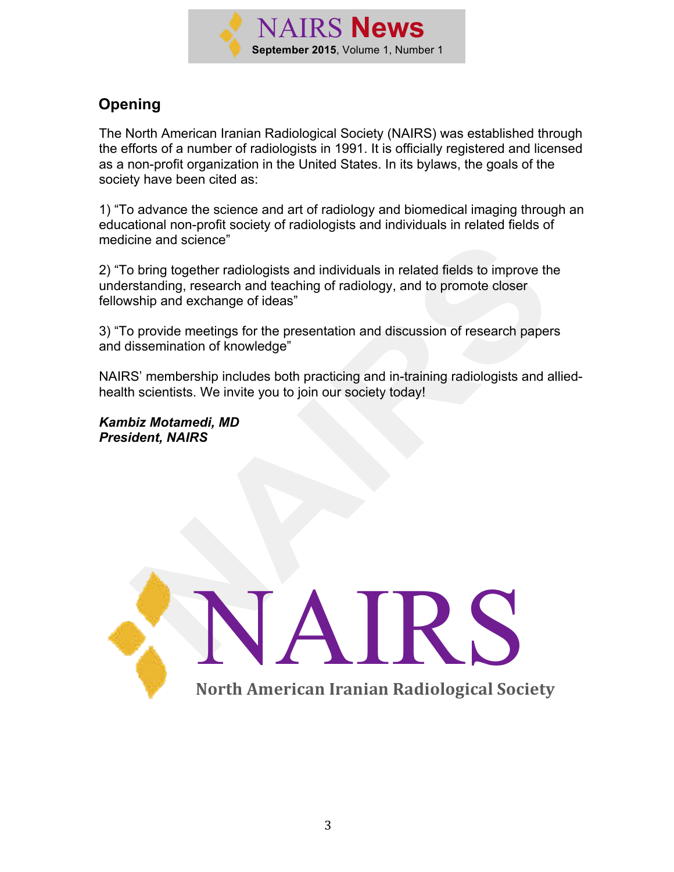

# **Opening**

The North American Iranian Radiological Society (NAIRS) was established through the efforts of a number of radiologists in 1991. It is officially registered and licensed as a non-profit organization in the United States. In its bylaws, the goals of the society have been cited as:

1) "To advance the science and art of radiology and biomedical imaging through an educational non-profit society of radiologists and individuals in related fields of medicine and science"

2) "To bring together radiologists and individuals in related fields to improve the understanding, research and teaching of radiology, and to promote closer fellowship and exchange of ideas"

3) "To provide meetings for the presentation and discussion of research papers and dissemination of knowledge"

NAIRS' membership includes both practicing and in-training radiologists and alliedhealth scientists. We invite you to join our society today!

*Kambiz Motamedi, MD President, NAIRS*

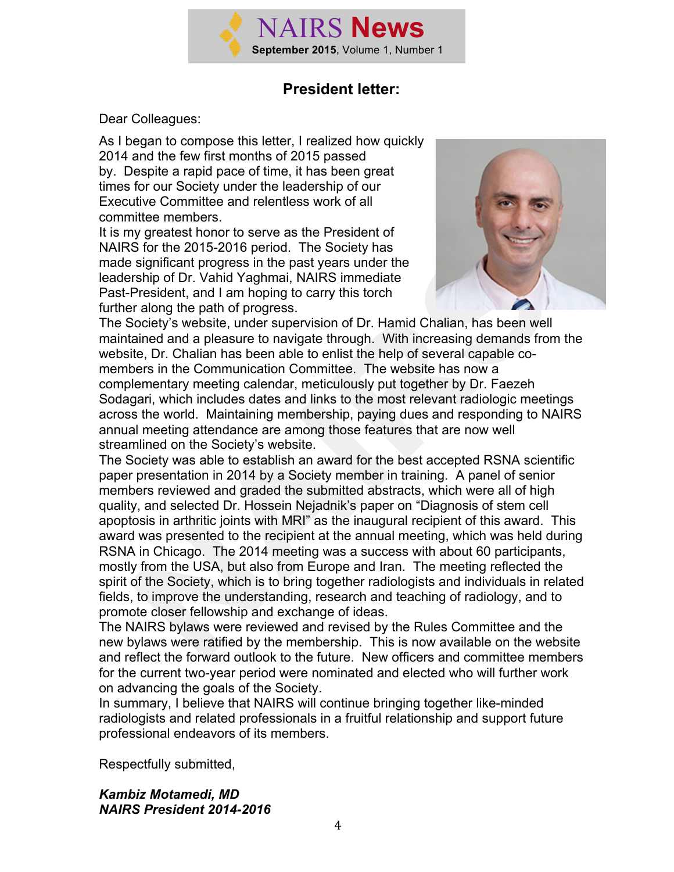

### **President letter:**

Dear Colleagues:

As I began to compose this letter, I realized how quickly 2014 and the few first months of 2015 passed by. Despite a rapid pace of time, it has been great times for our Society under the leadership of our Executive Committee and relentless work of all committee members.

It is my greatest honor to serve as the President of NAIRS for the 2015-2016 period. The Society has made significant progress in the past years under the leadership of Dr. Vahid Yaghmai, NAIRS immediate Past-President, and I am hoping to carry this torch further along the path of progress.



The Society's website, under supervision of Dr. Hamid Chalian, has been well maintained and a pleasure to navigate through. With increasing demands from the website, Dr. Chalian has been able to enlist the help of several capable comembers in the Communication Committee. The website has now a complementary meeting calendar, meticulously put together by Dr. Faezeh Sodagari, which includes dates and links to the most relevant radiologic meetings across the world. Maintaining membership, paying dues and responding to NAIRS annual meeting attendance are among those features that are now well streamlined on the Society's website.

The Society was able to establish an award for the best accepted RSNA scientific paper presentation in 2014 by a Society member in training. A panel of senior members reviewed and graded the submitted abstracts, which were all of high quality, and selected Dr. Hossein Nejadnik's paper on "Diagnosis of stem cell apoptosis in arthritic joints with MRI" as the inaugural recipient of this award. This award was presented to the recipient at the annual meeting, which was held during RSNA in Chicago. The 2014 meeting was a success with about 60 participants, mostly from the USA, but also from Europe and Iran. The meeting reflected the spirit of the Society, which is to bring together radiologists and individuals in related fields, to improve the understanding, research and teaching of radiology, and to promote closer fellowship and exchange of ideas.

The NAIRS bylaws were reviewed and revised by the Rules Committee and the new bylaws were ratified by the membership. This is now available on the website and reflect the forward outlook to the future. New officers and committee members for the current two-year period were nominated and elected who will further work on advancing the goals of the Society.

In summary, I believe that NAIRS will continue bringing together like-minded radiologists and related professionals in a fruitful relationship and support future professional endeavors of its members.

Respectfully submitted,

*Kambiz Motamedi, MD NAIRS President 2014-2016*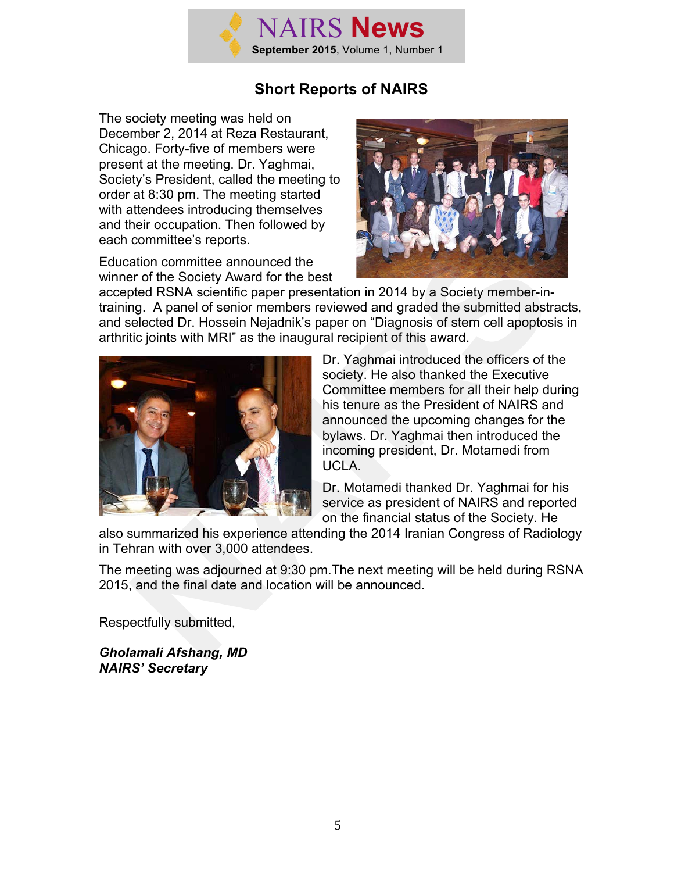

### **Short Reports of NAIRS**

The society meeting was held on December 2, 2014 at Reza Restaurant, Chicago. Forty-five of members were present at the meeting. Dr. Yaghmai, Society's President, called the meeting to order at 8:30 pm. The meeting started with attendees introducing themselves and their occupation. Then followed by each committee's reports.

Education committee announced the winner of the Society Award for the best



accepted RSNA scientific paper presentation in 2014 by a Society member-intraining. A panel of senior members reviewed and graded the submitted abstracts, and selected Dr. Hossein Nejadnik's paper on "Diagnosis of stem cell apoptosis in arthritic joints with MRI" as the inaugural recipient of this award.



Dr. Yaghmai introduced the officers of the society. He also thanked the Executive Committee members for all their help during his tenure as the President of NAIRS and announced the upcoming changes for the bylaws. Dr. Yaghmai then introduced the incoming president, Dr. Motamedi from UCLA.

Dr. Motamedi thanked Dr. Yaghmai for his service as president of NAIRS and reported on the financial status of the Society. He

also summarized his experience attending the 2014 Iranian Congress of Radiology in Tehran with over 3,000 attendees.

The meeting was adjourned at 9:30 pm.The next meeting will be held during RSNA 2015, and the final date and location will be announced.

Respectfully submitted,

*Gholamali Afshang, MD NAIRS' Secretary*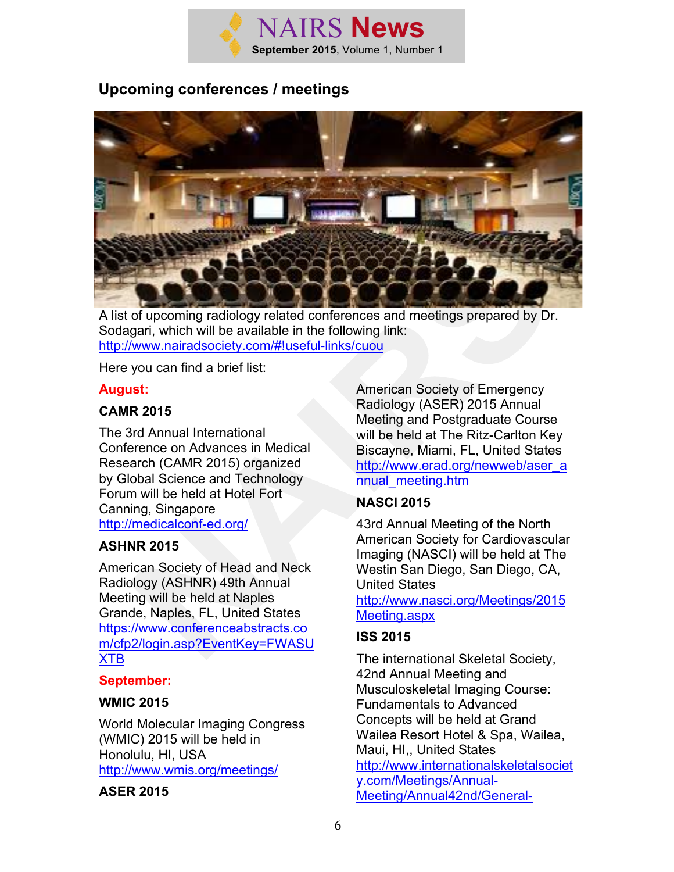

## **Upcoming conferences / meetings**



A list of upcoming radiology related conferences and meetings prepared by Dr. Sodagari, which will be available in the following link: http://www.nairadsociety.com/#!useful-links/cuou

Here you can find a brief list:

#### **August:**

#### **CAMR 2015**

The 3rd Annual International Conference on Advances in Medical Research (CAMR 2015) organized by Global Science and Technology Forum will be held at Hotel Fort Canning, Singapore http://medicalconf-ed.org/

#### **ASHNR 2015**

American Society of Head and Neck Radiology (ASHNR) 49th Annual Meeting will be held at Naples Grande, Naples, FL, United States https://www.conferenceabstracts.co m/cfp2/login.asp?EventKey=FWASU XTB

#### **September:**

#### **WMIC 2015**

World Molecular Imaging Congress (WMIC) 2015 will be held in Honolulu, HI, USA http://www.wmis.org/meetings/

#### **ASER 2015**

American Society of Emergency Radiology (ASER) 2015 Annual Meeting and Postgraduate Course will be held at The Ritz-Carlton Key Biscayne, Miami, FL, United States http://www.erad.org/newweb/aser\_a nnual\_meeting.htm

#### **NASCI 2015**

43rd Annual Meeting of the North American Society for Cardiovascular Imaging (NASCI) will be held at The Westin San Diego, San Diego, CA, United States http://www.nasci.org/Meetings/2015

Meeting.aspx

#### **ISS 2015**

The international Skeletal Society, 42nd Annual Meeting and Musculoskeletal Imaging Course: Fundamentals to Advanced Concepts will be held at Grand Wailea Resort Hotel & Spa, Wailea, Maui, HI,, United States http://www.internationalskeletalsociet y.com/Meetings/Annual-Meeting/Annual42nd/General-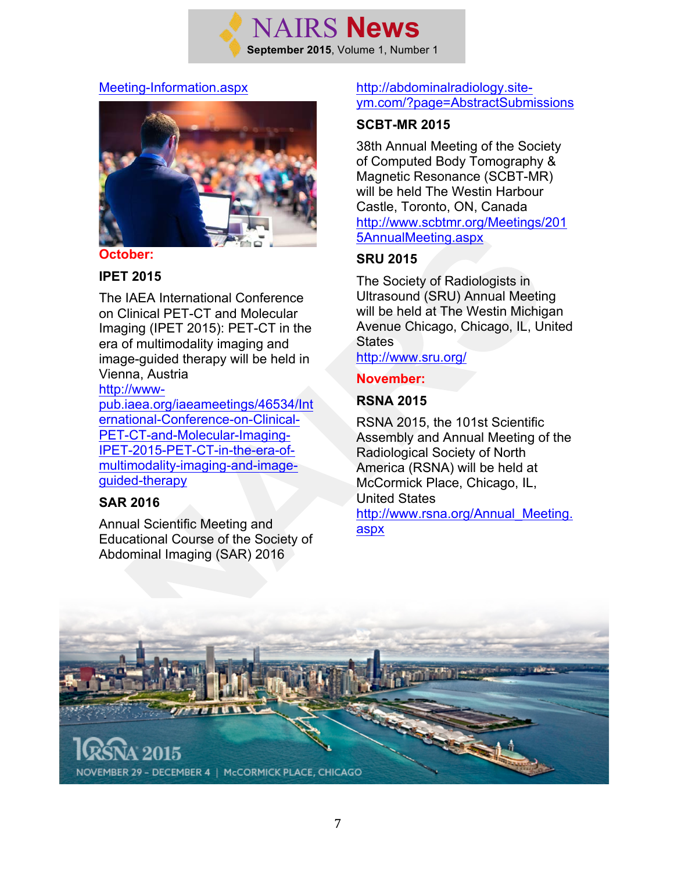

#### Meeting-Information.aspx



#### **October:**

#### **IPET 2015**

The IAEA International Conference on Clinical PET-CT and Molecular Imaging (IPET 2015): PET-CT in the era of multimodality imaging and image-guided therapy will be held in Vienna, Austria

http://www-

pub.iaea.org/iaeameetings/46534/Int ernational-Conference-on-Clinical-PET-CT-and-Molecular-Imaging-IPET-2015-PET-CT-in-the-era-ofmultimodality-imaging-and-imageguided-therapy

#### **SAR 2016**

Annual Scientific Meeting and Educational Course of the Society of Abdominal Imaging (SAR) 2016

#### http://abdominalradiology.siteym.com/?page=AbstractSubmissions

#### **SCBT-MR 2015**

38th Annual Meeting of the Society of Computed Body Tomography & Magnetic Resonance (SCBT-MR) will be held The Westin Harbour Castle, Toronto, ON, Canada http://www.scbtmr.org/Meetings/201 5AnnualMeeting.aspx

#### **SRU 2015**

The Society of Radiologists in Ultrasound (SRU) Annual Meeting will be held at The Westin Michigan Avenue Chicago, Chicago, IL, United **States** 

#### http://www.sru.org/

#### **November:**

#### **RSNA 2015**

RSNA 2015, the 101st Scientific Assembly and Annual Meeting of the Radiological Society of North America (RSNA) will be held at McCormick Place, Chicago, IL, United States http://www.rsna.org/Annual\_Meeting. aspx

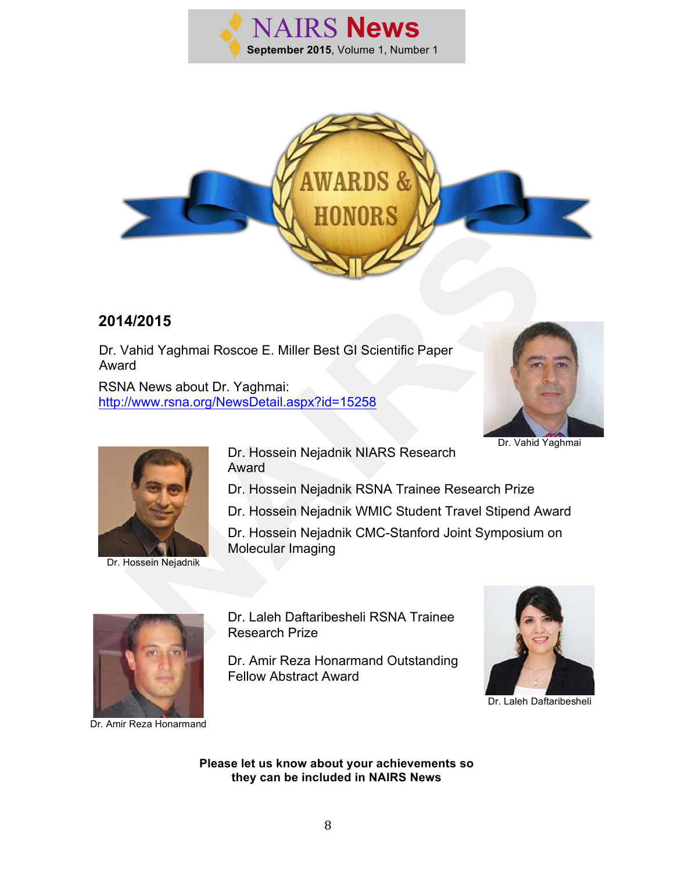



#### **2014/2015**

Dr. Vahid Yaghmai Roscoe E. Miller Best GI Scientific Paper Award

RSNA News about Dr. Yaghmai: http://www.rsna.org/NewsDetail.aspx?id=15258





Dr. Hossein Nejadnik

Dr. Hossein Nejadnik NIARS Research Award

Dr. Hossein Nejadnik RSNA Trainee Research Prize

Dr. Hossein Nejadnik WMIC Student Travel Stipend Award

Dr. Hossein Nejadnik CMC-Stanford Joint Symposium on Molecular Imaging



Dr. Amir Reza Honarmand

Dr. Laleh Daftaribesheli RSNA Trainee Research Prize

Dr. Amir Reza Honarmand Outstanding Fellow Abstract Award



Dr. Laleh Daftaribesheli

**Please let us know about your achievements so they can be included in NAIRS News**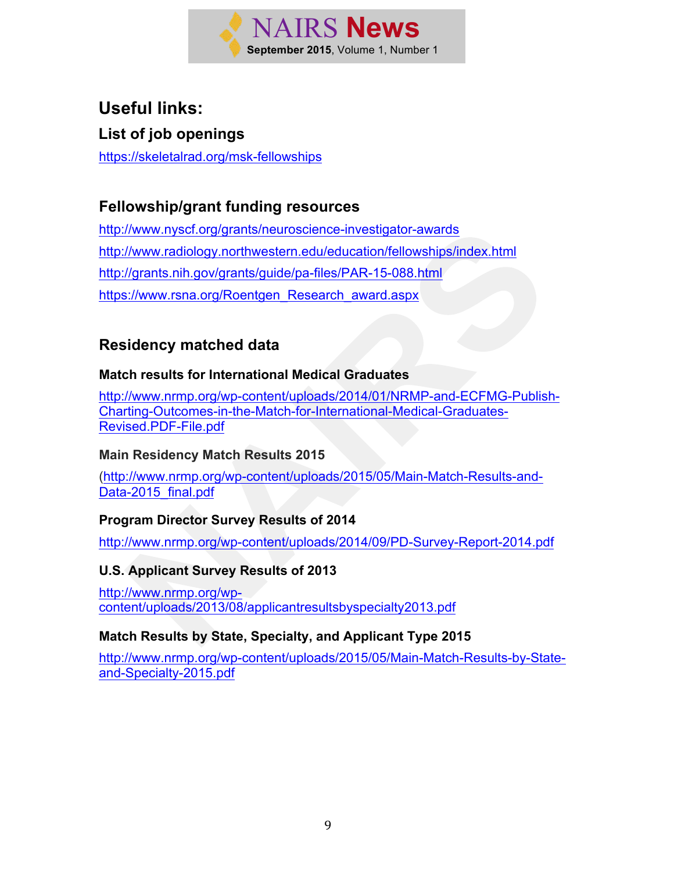

# **Useful links:**

**List of job openings**

https://skeletalrad.org/msk-fellowships

# **Fellowship/grant funding resources**

http://www.nyscf.org/grants/neuroscience-investigator-awards http://www.radiology.northwestern.edu/education/fellowships/index.html http://grants.nih.gov/grants/guide/pa-files/PAR-15-088.html https://www.rsna.org/Roentgen\_Research\_award.aspx

# **Residency matched data**

#### **Match results for International Medical Graduates**

http://www.nrmp.org/wp-content/uploads/2014/01/NRMP-and-ECFMG-Publish-Charting-Outcomes-in-the-Match-for-International-Medical-Graduates-Revised.PDF-File.pdf

#### **Main Residency Match Results 2015**

(http://www.nrmp.org/wp-content/uploads/2015/05/Main-Match-Results-and-Data-2015\_final.pdf

#### **Program Director Survey Results of 2014**

http://www.nrmp.org/wp-content/uploads/2014/09/PD-Survey-Report-2014.pdf

#### **U.S. Applicant Survey Results of 2013**

http://www.nrmp.org/wpcontent/uploads/2013/08/applicantresultsbyspecialty2013.pdf

#### **Match Results by State, Specialty, and Applicant Type 2015**

http://www.nrmp.org/wp-content/uploads/2015/05/Main-Match-Results-by-Stateand-Specialty-2015.pdf